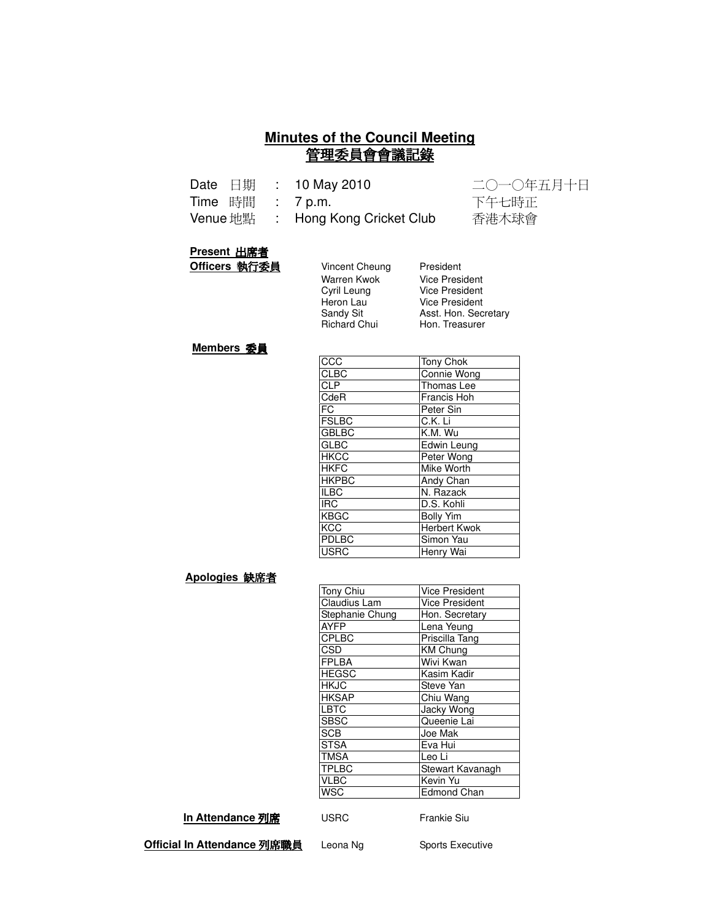#### **Minutes of the Council Meeting** 管理委員會會議記錄

|                  | Date $\boxdot$ $\ddot$ $\ddot$ : 10 May 2010 | 二〇一〇年五月十日 |
|------------------|----------------------------------------------|-----------|
| Time 時間 : 7 p.m. |                                              | 下午七時正     |
|                  | Venue 地點 : Hong Kong Cricket Club            | 香港木球會     |

#### **Present 出席者**

**Officers 執行委員** 

| Vincent Cheung      | President             |
|---------------------|-----------------------|
| Warren Kwok         | <b>Vice President</b> |
| Cyril Leung         | Vice President        |
| Heron Lau           | <b>Vice President</b> |
| Sandv Sit           | Asst. Hon. Secretary  |
| <b>Richard Chui</b> | Hon. Treasurer        |
|                     |                       |

#### **Members 委員**

| <b>CCC</b>   | Tony Chok           |
|--------------|---------------------|
| <b>CLBC</b>  | <b>Connie Wong</b>  |
| <b>CLP</b>   | Thomas Lee          |
| CdeR         | Francis Hoh         |
| FC           | Peter Sin           |
| <b>FSLBC</b> | C.K. Li             |
| <b>GBLBC</b> | K.M. Wu             |
| <b>GLBC</b>  | Edwin Leung         |
| <b>HKCC</b>  | Peter Wong          |
| <b>HKFC</b>  | Mike Worth          |
| <b>HKPBC</b> | Andy Chan           |
| <b>ILBC</b>  | N. Razack           |
| <b>IRC</b>   | D.S. Kohli          |
| <b>KBGC</b>  | <b>Bolly Yim</b>    |
| <b>KCC</b>   | <b>Herbert Kwok</b> |
| PDLBC        | Simon Yau           |
| <b>USRC</b>  | Henry Wai           |

#### <u>Apologies 缺席者</u>

| Tony Chiu       | <b>Vice President</b> |
|-----------------|-----------------------|
| Claudius Lam    | <b>Vice President</b> |
| Stephanie Chung | Hon. Secretary        |
| <b>AYFP</b>     | Lena Yeung            |
| <b>CPLBC</b>    | Priscilla Tang        |
| CSD             | <b>KM Chung</b>       |
| <b>FPLBA</b>    | Wivi Kwan             |
| <b>HEGSC</b>    | Kasim Kadir           |
| <b>HKJC</b>     | Steve Yan             |
| <b>HKSAP</b>    | Chiu Wang             |
| <b>LBTC</b>     | Jacky Wong            |
| <b>SBSC</b>     | Queenie Lai           |
| <b>SCB</b>      | Joe Mak               |
| <b>STSA</b>     | Eva Hui               |
| <b>TMSA</b>     | Leo Li                |
| <b>TPLBC</b>    | Stewart Kavanagh      |
| <b>VLBC</b>     | Kevin Yu              |
| <b>WSC</b>      | <b>Edmond Chan</b>    |
|                 |                       |

#### **In Attendance 列席**

USRC Frankie Siu

**Official In Attendance 列席職員** l

Leona Ng Sports Executive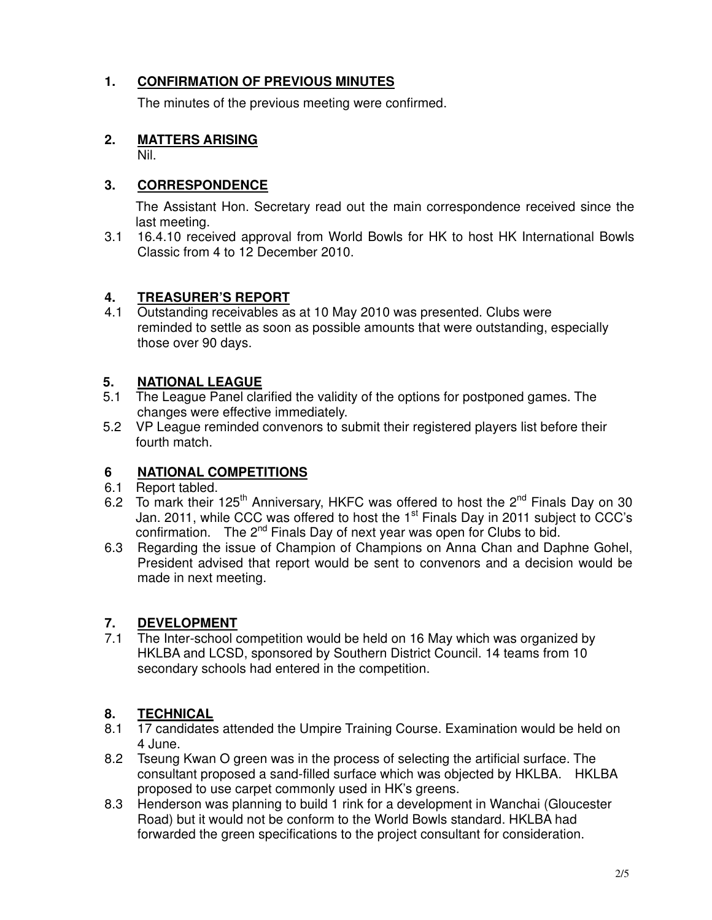# **1. CONFIRMATION OF PREVIOUS MINUTES**

The minutes of the previous meeting were confirmed.

# **2. MATTERS ARISING**

Nil.

# **3. CORRESPONDENCE**

The Assistant Hon. Secretary read out the main correspondence received since the last meeting.

3.1 16.4.10 received approval from World Bowls for HK to host HK International Bowls Classic from 4 to 12 December 2010.

## **4. TREASURER'S REPORT**

4.1 Outstanding receivables as at 10 May 2010 was presented. Clubs were reminded to settle as soon as possible amounts that were outstanding, especially those over 90 days.

#### **5. NATIONAL LEAGUE**

- 5.1 The League Panel clarified the validity of the options for postponed games. The changes were effective immediately.
- 5.2 VP League reminded convenors to submit their registered players list before their fourth match.

## **6 NATIONAL COMPETITIONS**

- 6.1 Report tabled.
- 6.2 To mark their 125<sup>th</sup> Anniversary, HKFC was offered to host the 2<sup>nd</sup> Finals Day on 30 Jan. 2011, while CCC was offered to host the 1<sup>st</sup> Finals Day in 2011 subject to CCC's confirmation. The 2<sup>nd</sup> Finals Day of next year was open for Clubs to bid.
- 6.3 Regarding the issue of Champion of Champions on Anna Chan and Daphne Gohel, President advised that report would be sent to convenors and a decision would be made in next meeting.

## **7. DEVELOPMENT**

7.1 The Inter-school competition would be held on 16 May which was organized by HKLBA and LCSD, sponsored by Southern District Council. 14 teams from 10 secondary schools had entered in the competition.

## **8. TECHNICAL**

- 8.1 17 candidates attended the Umpire Training Course. Examination would be held on 4 June.
- 8.2 Tseung Kwan O green was in the process of selecting the artificial surface. The consultant proposed a sand-filled surface which was objected by HKLBA. HKLBA proposed to use carpet commonly used in HK's greens.
- 8.3 Henderson was planning to build 1 rink for a development in Wanchai (Gloucester Road) but it would not be conform to the World Bowls standard. HKLBA had forwarded the green specifications to the project consultant for consideration.